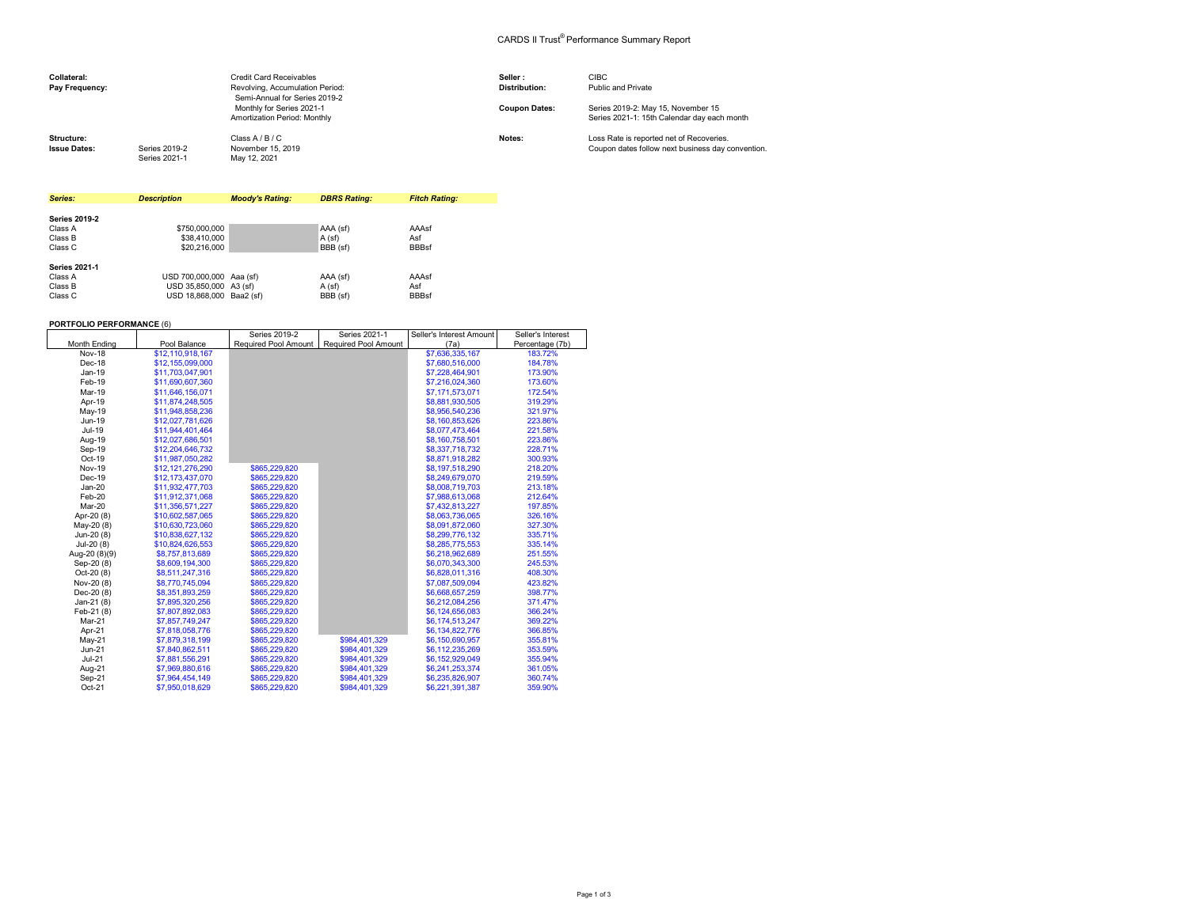## CARDS II Trust® Performance Summary Report

| Collateral:<br>Pay Frequency:     |                                | <b>Credit Card Receivables</b><br>Revolving, Accumulation Period:<br>Semi-Annual for Series 2019-2 | Seller:<br><b>Distribution:</b> | <b>CIBC</b><br>Public and Private                                                             |
|-----------------------------------|--------------------------------|----------------------------------------------------------------------------------------------------|---------------------------------|-----------------------------------------------------------------------------------------------|
|                                   |                                | Monthly for Series 2021-1<br>Amortization Period: Monthly                                          | <b>Coupon Dates:</b>            | Series 2019-2: May 15, November 15<br>Series 2021-1: 15th Calendar day each month             |
| Structure:<br><b>Issue Dates:</b> | Series 2019-2<br>Series 2021-1 | Class A / B / C<br>November 15, 2019<br>May 12, 2021                                               | Notes:                          | Loss Rate is reported net of Recoveries.<br>Coupon dates follow next business day convention. |

| Series:              | <b>Description</b>       | <b>Moody's Rating:</b> | <b>DBRS Rating:</b> | <b>Fitch Rating:</b> |
|----------------------|--------------------------|------------------------|---------------------|----------------------|
|                      |                          |                        |                     |                      |
| <b>Series 2019-2</b> |                          |                        |                     |                      |
| Class A              | \$750,000,000            |                        | AAA (sf)            | AAAsf                |
| Class B              | \$38,410,000             |                        | A(sf)               | Asf                  |
| Class C              | \$20,216,000             |                        | BBB (sf)            | <b>BBBsf</b>         |
| <b>Series 2021-1</b> |                          |                        |                     |                      |
| Class A              | USD 700,000,000 Aaa (sf) |                        | AAA (sf)            | AAAsf                |
| Class B              | USD 35.850,000 A3 (sf)   |                        | A (sf)              | Asf                  |
| Class C              | USD 18.868.000 Baa2 (sf) |                        | BBB (sf)            | <b>BBBsf</b>         |

## **PORTFOLIO PERFORMANCE** (6)

|               |                  | Series 2019-2        | Series 2021-1        | Seller's Interest Amount | Seller's Interest |
|---------------|------------------|----------------------|----------------------|--------------------------|-------------------|
| Month Ending  | Pool Balance     | Required Pool Amount | Required Pool Amount | (7a)                     | Percentage (7b)   |
| <b>Nov-18</b> | \$12.110.918.167 |                      |                      | \$7,636,335,167          | 183.72%           |
| Dec-18        | \$12.155.099.000 |                      |                      | \$7,680,516,000          | 184.78%           |
| Jan-19        | \$11,703,047,901 |                      |                      | \$7,228,464,901          | 173.90%           |
| Feb-19        | \$11,690,607,360 |                      |                      | \$7,216,024,360          | 173.60%           |
| Mar-19        | \$11,646,156,071 |                      |                      | \$7,171,573,071          | 172.54%           |
| Apr-19        | \$11.874.248.505 |                      |                      | \$8.881.930.505          | 319.29%           |
| May-19        | \$11,948,858,236 |                      |                      | \$8,956,540,236          | 321.97%           |
| Jun-19        | \$12,027,781,626 |                      |                      | \$8,160,853,626          | 223.86%           |
| Jul-19        | \$11,944,401,464 |                      |                      | \$8,077,473,464          | 221.58%           |
| Aug-19        | \$12,027,686,501 |                      |                      | \$8,160,758,501          | 223.86%           |
| Sep-19        | \$12,204,646,732 |                      |                      | \$8,337,718,732          | 228.71%           |
| Oct-19        | \$11,987,050,282 |                      |                      | \$8,871,918,282          | 300.93%           |
| <b>Nov-19</b> | \$12,121,276,290 | \$865,229,820        |                      | \$8,197,518,290          | 218.20%           |
| Dec-19        | \$12,173,437,070 | \$865,229,820        |                      | \$8,249,679,070          | 219.59%           |
| $Jan-20$      | \$11,932,477,703 | \$865,229,820        |                      | \$8,008,719,703          | 213.18%           |
| Feb-20        | \$11.912.371.068 | \$865,229,820        |                      | \$7,988,613,068          | 212.64%           |
| Mar-20        | \$11.356.571.227 | \$865,229,820        |                      | \$7,432,813,227          | 197.85%           |
| Apr-20 (8)    | \$10.602.587.065 | \$865,229,820        |                      | \$8,063,736,065          | 326.16%           |
| May-20 (8)    | \$10,630,723,060 | \$865,229,820        |                      | \$8,091,872,060          | 327.30%           |
| Jun-20 (8)    | \$10,838,627,132 | \$865,229,820        |                      | \$8,299,776,132          | 335.71%           |
| $Jul-20(8)$   | \$10.824.626.553 | \$865,229,820        |                      | \$8,285,775,553          | 335.14%           |
| Aug-20 (8)(9) | \$8,757,813,689  | \$865,229,820        |                      | \$6,218,962,689          | 251.55%           |
| Sep-20 (8)    | \$8,609,194,300  | \$865,229,820        |                      | \$6,070,343,300          | 245.53%           |
| Oct-20 (8)    | \$8,511,247,316  | \$865,229,820        |                      | \$6,828,011,316          | 408.30%           |
| Nov-20 (8)    | \$8,770,745,094  | \$865,229,820        |                      | \$7,087,509,094          | 423.82%           |
| Dec-20 (8)    | \$8,351,893,259  | \$865,229,820        |                      | \$6,668,657,259          | 398.77%           |
| Jan-21 $(8)$  | \$7,895,320,256  | \$865,229,820        |                      | \$6,212,084,256          | 371.47%           |
| Feb-21 (8)    | \$7,807,892,083  | \$865,229,820        |                      | \$6,124,656,083          | 366.24%           |
| Mar-21        | \$7,857,749,247  | \$865,229,820        |                      | \$6,174,513,247          | 369.22%           |
| Apr-21        | \$7,818,058,776  | \$865,229,820        |                      | \$6,134,822,776          | 366.85%           |
| May-21        | \$7,879,318,199  | \$865,229,820        | \$984.401.329        | \$6,150,690,957          | 355.81%           |
| $Jun-21$      | \$7,840,862,511  | \$865,229,820        | \$984.401.329        | \$6,112,235,269          | 353.59%           |
| $Jul-21$      | \$7,881,556,291  | \$865,229,820        | \$984.401.329        | \$6,152,929,049          | 355.94%           |
| Aug-21        | \$7,969,880,616  | \$865,229,820        | \$984,401,329        | \$6,241,253,374          | 361.05%           |
| Sep-21        | \$7,964,454,149  | \$865,229,820        | \$984,401,329        | \$6,235,826,907          | 360.74%           |
| Oct-21        | \$7,950,018,629  | \$865,229,820        | \$984.401.329        | \$6,221,391,387          | 359.90%           |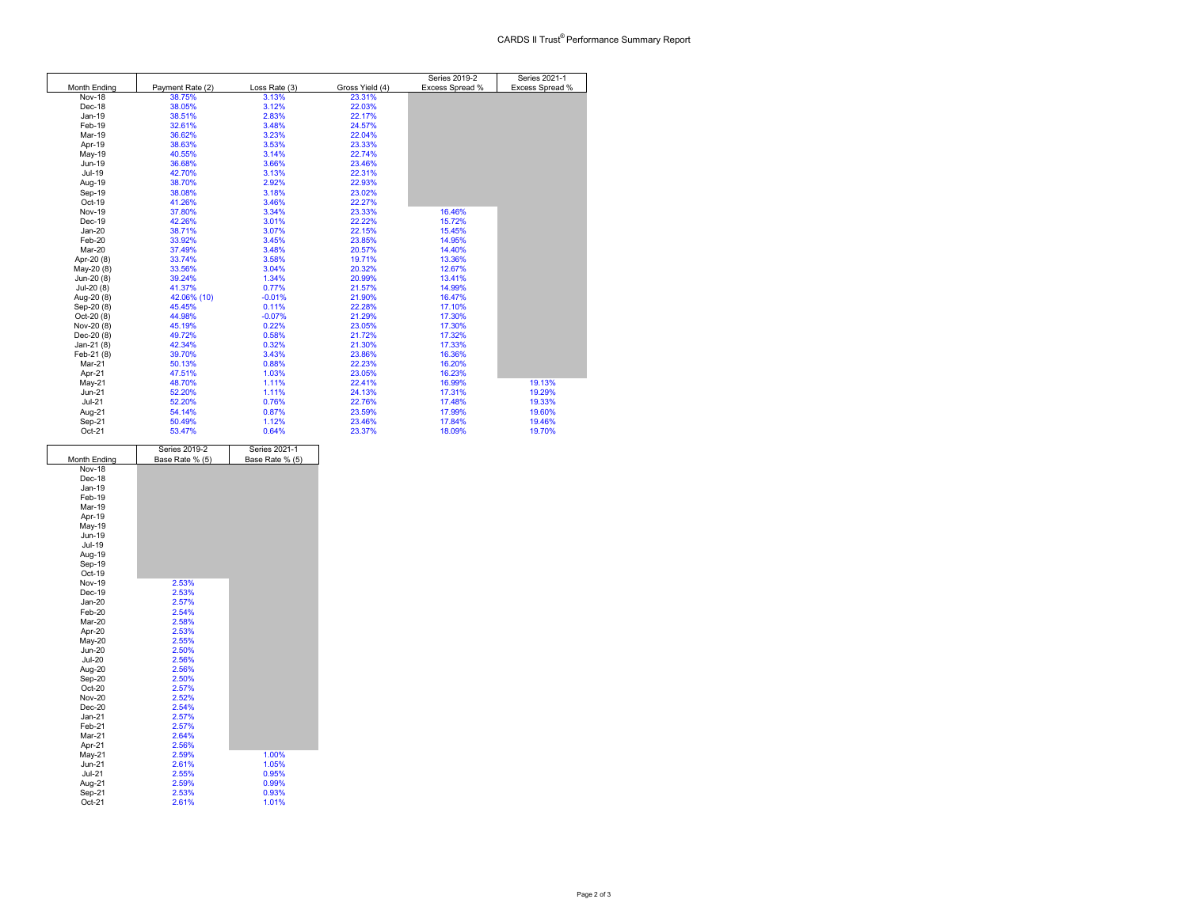|               |                  |               |                 | Series 2019-2   | Series 2021-1   |
|---------------|------------------|---------------|-----------------|-----------------|-----------------|
| Month Ending  | Payment Rate (2) | Loss Rate (3) | Gross Yield (4) | Excess Spread % | Excess Spread % |
| <b>Nov-18</b> | 38.75%           | 3.13%         | 23.31%          |                 |                 |
| Dec-18        | 38.05%           | 3.12%         | 22.03%          |                 |                 |
| Jan-19        | 38.51%           | 2.83%         | 22.17%          |                 |                 |
| Feb-19        | 32.61%           | 3.48%         | 24.57%          |                 |                 |
| Mar-19        | 36.62%           | 3.23%         | 22.04%          |                 |                 |
| Apr-19        | 38.63%           | 3.53%         | 23.33%          |                 |                 |
| May-19        | 40.55%           | 3.14%         | 22.74%          |                 |                 |
| Jun-19        | 36.68%           | 3.66%         | 23.46%          |                 |                 |
| Jul-19        | 42.70%           | 3.13%         | 22.31%          |                 |                 |
| Aug-19        | 38.70%           | 2.92%         | 22.93%          |                 |                 |
| Sep-19        | 38.08%           | 3.18%         | 23.02%          |                 |                 |
| Oct-19        | 41.26%           | 3.46%         | 22.27%          |                 |                 |
| <b>Nov-19</b> | 37.80%           | 3.34%         | 23.33%          | 16.46%          |                 |
| Dec-19        | 42.26%           | 3.01%         | 22.22%          | 15.72%          |                 |
| $Jan-20$      | 38.71%           | 3.07%         | 22.15%          | 15.45%          |                 |
| Feb-20        | 33.92%           | 3.45%         | 23.85%          | 14.95%          |                 |
| Mar-20        | 37.49%           | 3.48%         | 20.57%          | 14.40%          |                 |
| Apr-20 (8)    | 33.74%           | 3.58%         | 19.71%          | 13.36%          |                 |
| May-20 (8)    | 33.56%           | 3.04%         | 20.32%          | 12.67%          |                 |
| Jun-20 (8)    | 39.24%           | 1.34%         | 20.99%          | 13.41%          |                 |
| $Jul-20(8)$   | 41.37%           | 0.77%         | 21.57%          | 14.99%          |                 |
| Aug-20 (8)    | 42.06% (10)      | $-0.01%$      | 21.90%          | 16.47%          |                 |
| Sep-20 (8)    | 45.45%           | 0.11%         | 22.28%          | 17.10%          |                 |
| Oct-20 (8)    | 44.98%           | $-0.07%$      | 21.29%          | 17.30%          |                 |
| Nov-20 (8)    | 45.19%           | 0.22%         | 23.05%          | 17.30%          |                 |
| Dec-20 (8)    | 49.72%           | 0.58%         | 21.72%          | 17.32%          |                 |
| Jan-21 $(8)$  | 42.34%           | 0.32%         | 21.30%          | 17.33%          |                 |
| Feb-21 (8)    | 39.70%           | 3.43%         | 23.86%          | 16.36%          |                 |
| Mar-21        | 50.13%           | 0.88%         | 22.23%          | 16.20%          |                 |
| Apr-21        | 47.51%           | 1.03%         | 23.05%          | 16.23%          |                 |
| May-21        | 48.70%           | 1.11%         | 22.41%          | 16.99%          | 19.13%          |
| $Jun-21$      | 52.20%           | 1.11%         | 24.13%          | 17.31%          | 19.29%          |
| $Jul-21$      | 52.20%           | 0.76%         | 22.76%          | 17.48%          | 19.33%          |
| Aug-21        | 54.14%           | 0.87%         | 23.59%          | 17.99%          | 19.60%          |
| Sep-21        | 50.49%           | 1.12%         | 23.46%          | 17.84%          | 19.46%          |
| Oct-21        | 53.47%           | 0.64%         | 23.37%          | 18.09%          | 19.70%          |

|                     | Series 2019-2   | Series 2021-1   |
|---------------------|-----------------|-----------------|
| <b>Month Ending</b> | Base Rate % (5) | Base Rate % (5) |
| <b>Nov-18</b>       |                 |                 |
| Dec-18              |                 |                 |
| $Jan-19$            |                 |                 |
| Feb-19              |                 |                 |
| Mar-19              |                 |                 |
| Apr-19              |                 |                 |
| May-19              |                 |                 |
| Jun-19              |                 |                 |
| Jul-19              |                 |                 |
| Aug-19              |                 |                 |
| Sep-19              |                 |                 |
| Oct-19              |                 |                 |
| <b>Nov-19</b>       | 2.53%           |                 |
| Dec-19              | 2.53%           |                 |
| $Jan-20$            | 2.57%           |                 |
| Feb-20              | 2.54%           |                 |
| Mar-20              | 2.58%           |                 |
| Apr-20              | 2.53%           |                 |
| May-20              | 2.55%           |                 |
| <b>Jun-20</b>       | 2.50%           |                 |
| <b>Jul-20</b>       | 2.56%           |                 |
| Aug-20              | 2.56%           |                 |
| Sep-20              | 2.50%           |                 |
| Oct-20              | 2.57%           |                 |
| <b>Nov-20</b>       | 2.52%           |                 |
| $Dec-20$            | 2.54%           |                 |
| $Jan-21$            | 2.57%           |                 |
| Feb-21              | 2.57%           |                 |
| Mar-21              | 2.64%           |                 |
| Apr-21              | 2.56%           |                 |
| May-21              | 2.59%           | 1.00%           |
| $Jun-21$            | 2.61%           | 1.05%           |
| <b>Jul-21</b>       | 2.55%           | 0.95%           |
| Aug-21              | 2.59%           | 0.99%           |
| Sep-21              | 2.53%           | 0.93%           |
| $Oct-21$            | 2.61%           | 1.01%           |